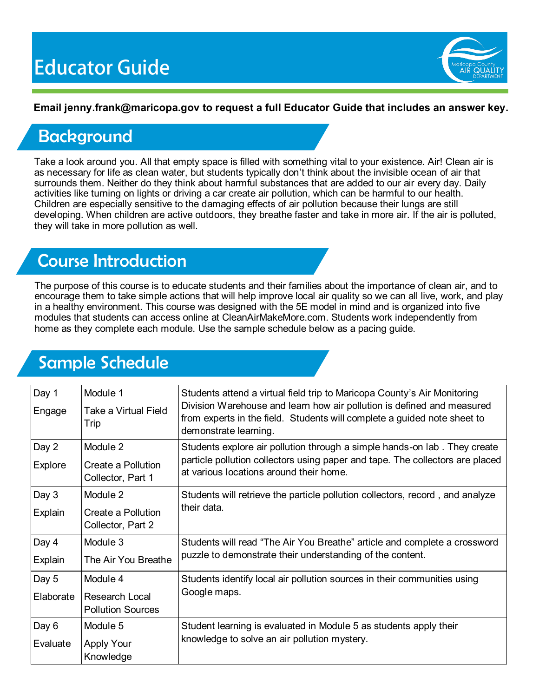

### **Email jenny.frank@maricopa.gov to request a full Educator Guide that includes an answer key.**

## **Background**

Take a look around you. All that empty space is filled with something vital to your existence. Air! Clean air is as necessary for life as clean water, but students typically don't think about the invisible ocean of air that surrounds them. Neither do they think about harmful substances that are added to our air every day. Daily activities like turning on lights or driving a car create air pollution, which can be harmful to our health. Children are especially sensitive to the damaging effects of air pollution because their lungs are still developing. When children are active outdoors, they breathe faster and take in more air. If the air is polluted, they will take in more pollution as well.

## Course Introduction

The purpose of this course is to educate students and their families about the importance of clean air, and to encourage them to take simple actions that will help improve local air quality so we can all live, work, and play in a healthy environment. This course was designed with the 5E model in mind and is organized into five modules that students can access online at CleanAirMakeMore.com. Students work independently from home as they complete each module. Use the sample schedule below as a pacing guide.

# Sample Schedule

| Day 1<br>Engage         | Module 1<br>Take a Virtual Field<br>Trip               | Students attend a virtual field trip to Maricopa County's Air Monitoring<br>Division Warehouse and learn how air pollution is defined and measured<br>from experts in the field. Students will complete a guided note sheet to<br>demonstrate learning. |
|-------------------------|--------------------------------------------------------|---------------------------------------------------------------------------------------------------------------------------------------------------------------------------------------------------------------------------------------------------------|
| Day 2<br><b>Explore</b> | Module 2<br>Create a Pollution<br>Collector, Part 1    | Students explore air pollution through a simple hands-on lab. They create<br>particle pollution collectors using paper and tape. The collectors are placed<br>at various locations around their home.                                                   |
| Day 3<br>Explain        | Module 2<br>Create a Pollution<br>Collector, Part 2    | Students will retrieve the particle pollution collectors, record, and analyze<br>their data.                                                                                                                                                            |
| Day 4<br>Explain        | Module 3<br>The Air You Breathe                        | Students will read "The Air You Breathe" article and complete a crossword<br>puzzle to demonstrate their understanding of the content.                                                                                                                  |
| Day 5<br>Elaborate      | Module 4<br>Research Local<br><b>Pollution Sources</b> | Students identify local air pollution sources in their communities using<br>Google maps.                                                                                                                                                                |
| Day 6<br>Evaluate       | Module 5<br><b>Apply Your</b><br>Knowledge             | Student learning is evaluated in Module 5 as students apply their<br>knowledge to solve an air pollution mystery.                                                                                                                                       |